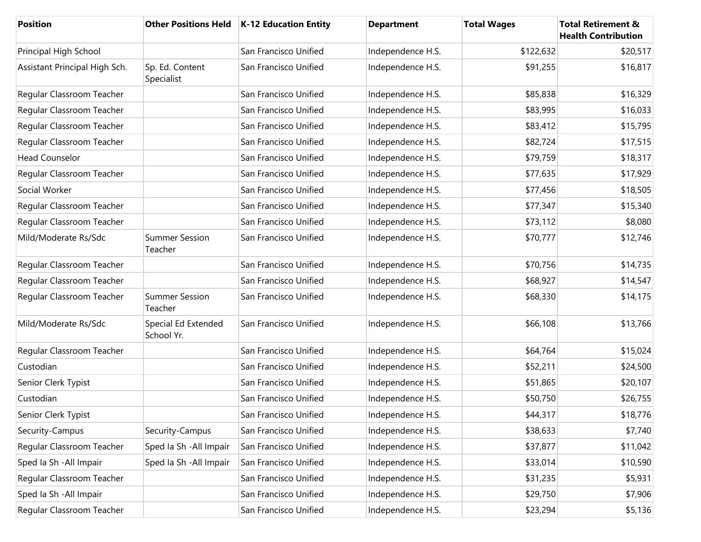| Position                      |                                   | Other Positions Held   K-12 Education Entity | <b>Department</b> | <b>Total Wages</b> | <b>Total Retirement &amp;</b><br><b>Health Contribution</b> |
|-------------------------------|-----------------------------------|----------------------------------------------|-------------------|--------------------|-------------------------------------------------------------|
| Principal High School         |                                   | San Francisco Unified                        | Independence H.S. | \$122,632          | \$20,517                                                    |
| Assistant Principal High Sch. | Sp. Ed. Content<br>Specialist     | San Francisco Unified                        | Independence H.S. | \$91,255           | \$16,817                                                    |
| Regular Classroom Teacher     |                                   | San Francisco Unified                        | Independence H.S. | \$85,838           | \$16,329                                                    |
| Regular Classroom Teacher     |                                   | San Francisco Unified                        | Independence H.S. | \$83,995           | \$16,033                                                    |
| Regular Classroom Teacher     |                                   | San Francisco Unified                        | Independence H.S. | \$83,412           | \$15,795                                                    |
| Regular Classroom Teacher     |                                   | San Francisco Unified                        | Independence H.S. | \$82,724           | \$17,515                                                    |
| <b>Head Counselor</b>         |                                   | San Francisco Unified                        | Independence H.S. | \$79,759           | \$18,317                                                    |
| Regular Classroom Teacher     |                                   | San Francisco Unified                        | Independence H.S. | \$77,635           | \$17,929                                                    |
| Social Worker                 |                                   | San Francisco Unified                        | Independence H.S. | \$77,456           | \$18,505                                                    |
| Regular Classroom Teacher     |                                   | San Francisco Unified                        | Independence H.S. | \$77,347           | \$15,340                                                    |
| Regular Classroom Teacher     |                                   | San Francisco Unified                        | Independence H.S. | \$73,112           | \$8,080                                                     |
| Mild/Moderate Rs/Sdc          | <b>Summer Session</b><br>Teacher  | San Francisco Unified                        | Independence H.S. | \$70,777           | \$12,746                                                    |
| Regular Classroom Teacher     |                                   | San Francisco Unified                        | Independence H.S. | \$70,756           | \$14,735                                                    |
| Regular Classroom Teacher     |                                   | San Francisco Unified                        | Independence H.S. | \$68,927           | \$14,547                                                    |
| Regular Classroom Teacher     | <b>Summer Session</b><br>Teacher  | San Francisco Unified                        | Independence H.S. | \$68,330           | \$14,175                                                    |
| Mild/Moderate Rs/Sdc          | Special Ed Extended<br>School Yr. | San Francisco Unified                        | Independence H.S. | \$66,108           | \$13,766                                                    |
| Regular Classroom Teacher     |                                   | San Francisco Unified                        | Independence H.S. | \$64,764           | \$15,024                                                    |
| Custodian                     |                                   | San Francisco Unified                        | Independence H.S. | \$52,211           | \$24,500                                                    |
| Senior Clerk Typist           |                                   | San Francisco Unified                        | Independence H.S. | \$51,865           | \$20,107                                                    |
| Custodian                     |                                   | San Francisco Unified                        | Independence H.S. | \$50,750           | \$26,755                                                    |
| Senior Clerk Typist           |                                   | San Francisco Unified                        | Independence H.S. | \$44,317           | \$18,776                                                    |
| Security-Campus               | Security-Campus                   | San Francisco Unified                        | Independence H.S. | \$38,633           | \$7,740                                                     |
| Regular Classroom Teacher     | Sped Ia Sh - All Impair           | San Francisco Unified                        | Independence H.S. | \$37,877           | \$11,042                                                    |
| Sped Ia Sh - All Impair       | Sped Ia Sh - All Impair           | San Francisco Unified                        | Independence H.S. | \$33,014           | \$10,590                                                    |
| Regular Classroom Teacher     |                                   | San Francisco Unified                        | Independence H.S. | \$31,235           | \$5,931                                                     |
| Sped Ia Sh - All Impair       |                                   | San Francisco Unified                        | Independence H.S. | \$29,750           | \$7,906                                                     |
| Regular Classroom Teacher     |                                   | San Francisco Unified                        | Independence H.S. | \$23,294           | \$5,136                                                     |